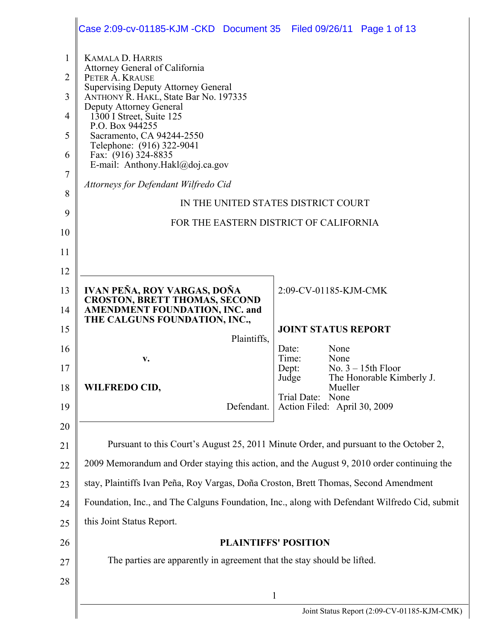|                                                                    | Case 2:09-cv-01185-KJM-CKD Document 35 Filed 09/26/11 Page 1 of 13                                                                                                                                                                                                                                                                                                                                        |                                                                               |  |
|--------------------------------------------------------------------|-----------------------------------------------------------------------------------------------------------------------------------------------------------------------------------------------------------------------------------------------------------------------------------------------------------------------------------------------------------------------------------------------------------|-------------------------------------------------------------------------------|--|
| 1<br>$\overline{2}$<br>3<br>4<br>5<br>6<br>7<br>8<br>9<br>10<br>11 | <b>KAMALA D. HARRIS</b><br>Attorney General of California<br>PETER A. KRAUSE<br><b>Supervising Deputy Attorney General</b><br>ANTHONY R. HAKL, State Bar No. 197335<br>Deputy Attorney General<br>1300 I Street, Suite 125<br>P.O. Box 944255<br>Sacramento, CA 94244-2550<br>Telephone: (916) 322-9041<br>Fax: (916) 324-8835<br>E-mail: Anthony.Hakl@doj.ca.gov<br>Attorneys for Defendant Wilfredo Cid | IN THE UNITED STATES DISTRICT COURT<br>FOR THE EASTERN DISTRICT OF CALIFORNIA |  |
| 12                                                                 |                                                                                                                                                                                                                                                                                                                                                                                                           |                                                                               |  |
| 13                                                                 | IVAN PEÑA, ROY VARGAS, DOÑA                                                                                                                                                                                                                                                                                                                                                                               | 2:09-CV-01185-KJM-CMK                                                         |  |
| 14                                                                 | <b>CROSTON, BRETT THOMAS, SECOND</b><br><b>AMENDMENT FOUNDATION, INC. and</b>                                                                                                                                                                                                                                                                                                                             |                                                                               |  |
| 15                                                                 | THE CALGUNS FOUNDATION, INC.,                                                                                                                                                                                                                                                                                                                                                                             | <b>JOINT STATUS REPORT</b>                                                    |  |
| 16                                                                 | Plaintiffs,<br>v.                                                                                                                                                                                                                                                                                                                                                                                         | None<br>Date:<br>Time:<br>None                                                |  |
| 17                                                                 |                                                                                                                                                                                                                                                                                                                                                                                                           | No. $3 - 15$ th Floor<br>Dept:<br>Judge<br>The Honorable Kimberly J.          |  |
| 18                                                                 | WILFREDO CID,                                                                                                                                                                                                                                                                                                                                                                                             | Mueller<br>None<br>Trial Date:                                                |  |
| 19                                                                 | Defendant.                                                                                                                                                                                                                                                                                                                                                                                                | Action Filed: April 30, 2009                                                  |  |
| 20                                                                 |                                                                                                                                                                                                                                                                                                                                                                                                           |                                                                               |  |
| 21                                                                 | Pursuant to this Court's August 25, 2011 Minute Order, and pursuant to the October 2,                                                                                                                                                                                                                                                                                                                     |                                                                               |  |
| 22                                                                 | 2009 Memorandum and Order staying this action, and the August 9, 2010 order continuing the                                                                                                                                                                                                                                                                                                                |                                                                               |  |
| 23                                                                 | stay, Plaintiffs Ivan Peña, Roy Vargas, Doña Croston, Brett Thomas, Second Amendment                                                                                                                                                                                                                                                                                                                      |                                                                               |  |
| 24                                                                 | Foundation, Inc., and The Calguns Foundation, Inc., along with Defendant Wilfredo Cid, submit                                                                                                                                                                                                                                                                                                             |                                                                               |  |
| 25                                                                 | this Joint Status Report.                                                                                                                                                                                                                                                                                                                                                                                 |                                                                               |  |
| 26                                                                 | <b>PLAINTIFFS' POSITION</b>                                                                                                                                                                                                                                                                                                                                                                               |                                                                               |  |
| 27                                                                 | The parties are apparently in agreement that the stay should be lifted.                                                                                                                                                                                                                                                                                                                                   |                                                                               |  |
| 28                                                                 | $\mathbf{1}$                                                                                                                                                                                                                                                                                                                                                                                              |                                                                               |  |
|                                                                    | Joint Status Report (2:09-CV-01185-KJM-CMK)                                                                                                                                                                                                                                                                                                                                                               |                                                                               |  |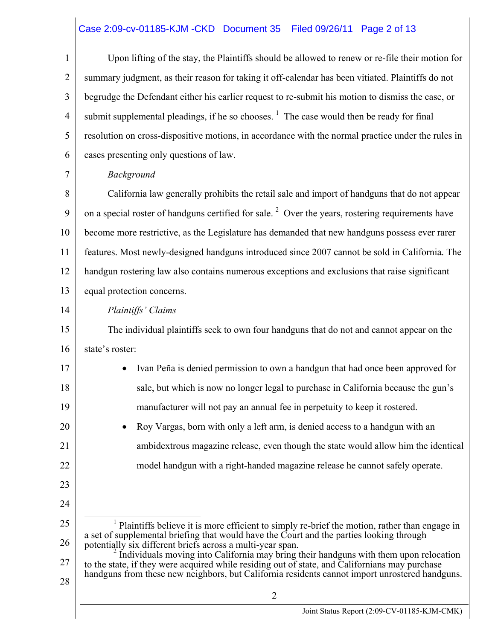# Case 2:09-cv-01185-KJM -CKD Document 35 Filed 09/26/11 Page 2 of 13

| $\mathbf{1}$   | Upon lifting of the stay, the Plaintiffs should be allowed to renew or re-file their motion for                                                                                                                                                                                           |  |  |
|----------------|-------------------------------------------------------------------------------------------------------------------------------------------------------------------------------------------------------------------------------------------------------------------------------------------|--|--|
| $\overline{2}$ | summary judgment, as their reason for taking it off-calendar has been vitiated. Plaintiffs do not                                                                                                                                                                                         |  |  |
| 3              | begrudge the Defendant either his earlier request to re-submit his motion to dismiss the case, or                                                                                                                                                                                         |  |  |
| $\overline{4}$ | submit supplemental pleadings, if he so chooses. $\frac{1}{1}$ The case would then be ready for final                                                                                                                                                                                     |  |  |
| 5              | resolution on cross-dispositive motions, in accordance with the normal practice under the rules in                                                                                                                                                                                        |  |  |
| 6              | cases presenting only questions of law.                                                                                                                                                                                                                                                   |  |  |
| 7              | Background                                                                                                                                                                                                                                                                                |  |  |
| 8              | California law generally prohibits the retail sale and import of handguns that do not appear                                                                                                                                                                                              |  |  |
| 9              | on a special roster of handguns certified for sale. <sup>2</sup> Over the years, rostering requirements have                                                                                                                                                                              |  |  |
| 10             | become more restrictive, as the Legislature has demanded that new handguns possess ever rarer                                                                                                                                                                                             |  |  |
| 11             | features. Most newly-designed handguns introduced since 2007 cannot be sold in California. The                                                                                                                                                                                            |  |  |
| 12             | handgun rostering law also contains numerous exceptions and exclusions that raise significant                                                                                                                                                                                             |  |  |
| 13             | equal protection concerns.                                                                                                                                                                                                                                                                |  |  |
| 14             | Plaintiffs' Claims                                                                                                                                                                                                                                                                        |  |  |
| 15             | The individual plaintiffs seek to own four handguns that do not and cannot appear on the                                                                                                                                                                                                  |  |  |
| 16             | state's roster:                                                                                                                                                                                                                                                                           |  |  |
| 17             | Ivan Peña is denied permission to own a handgun that had once been approved for                                                                                                                                                                                                           |  |  |
| 18             | sale, but which is now no longer legal to purchase in California because the gun's                                                                                                                                                                                                        |  |  |
| 19             | manufacturer will not pay an annual fee in perpetuity to keep it rostered.                                                                                                                                                                                                                |  |  |
| 20             | Roy Vargas, born with only a left arm, is denied access to a handgun with an                                                                                                                                                                                                              |  |  |
| 21             | ambidextrous magazine release, even though the state would allow him the identical                                                                                                                                                                                                        |  |  |
| 22             | model handgun with a right-handed magazine release he cannot safely operate.                                                                                                                                                                                                              |  |  |
| 23             |                                                                                                                                                                                                                                                                                           |  |  |
| 24             |                                                                                                                                                                                                                                                                                           |  |  |
| 25             | <sup>1</sup> Plaintiffs believe it is more efficient to simply re-brief the motion, rather than engage in                                                                                                                                                                                 |  |  |
| 26             | a set of supplemental briefing that would have the Court and the parties looking through<br>potentially six different briefs across a multi-year span.                                                                                                                                    |  |  |
| 27             | Individuals moving into California may bring their handguns with them upon relocation<br>to the state, if they were acquired while residing out of state, and Californians may purchase<br>handguns from these new neighbors, but California residents cannot import unrostered handguns. |  |  |
| 28             | $\overline{2}$                                                                                                                                                                                                                                                                            |  |  |
|                | Joint Status Report (2:09-CV-01185-KJM-CMK)                                                                                                                                                                                                                                               |  |  |
|                |                                                                                                                                                                                                                                                                                           |  |  |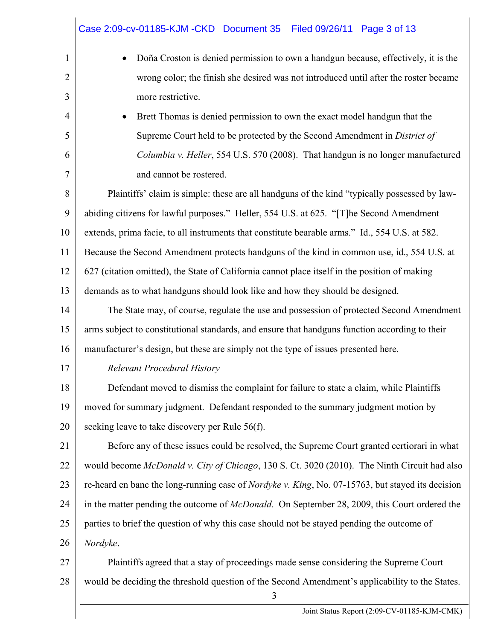|                | Case 2:09-cv-01185-KJM - CKD Document 35 Filed 09/26/11 Page 3 of 13                                     |  |  |  |
|----------------|----------------------------------------------------------------------------------------------------------|--|--|--|
| $\mathbf{1}$   | Doña Croston is denied permission to own a handgun because, effectively, it is the                       |  |  |  |
| $\overline{2}$ | wrong color; the finish she desired was not introduced until after the roster became                     |  |  |  |
| 3              | more restrictive.                                                                                        |  |  |  |
| 4              | Brett Thomas is denied permission to own the exact model handgun that the                                |  |  |  |
| 5              | Supreme Court held to be protected by the Second Amendment in District of                                |  |  |  |
| 6              | Columbia v. Heller, 554 U.S. 570 (2008). That handgun is no longer manufactured                          |  |  |  |
| $\tau$         | and cannot be rostered.                                                                                  |  |  |  |
| 8              | Plaintiffs' claim is simple: these are all handguns of the kind "typically possessed by law-             |  |  |  |
| 9              | abiding citizens for lawful purposes." Heller, 554 U.S. at 625. "[T]he Second Amendment                  |  |  |  |
| 10             | extends, prima facie, to all instruments that constitute bearable arms." Id., 554 U.S. at 582.           |  |  |  |
| 11             | Because the Second Amendment protects handguns of the kind in common use, id., 554 U.S. at               |  |  |  |
| 12             | 627 (citation omitted), the State of California cannot place itself in the position of making            |  |  |  |
| 13             | demands as to what handguns should look like and how they should be designed.                            |  |  |  |
| 14             | The State may, of course, regulate the use and possession of protected Second Amendment                  |  |  |  |
| 15             | arms subject to constitutional standards, and ensure that handguns function according to their           |  |  |  |
| 16             | manufacturer's design, but these are simply not the type of issues presented here.                       |  |  |  |
| 17             | <b>Relevant Procedural History</b>                                                                       |  |  |  |
| 18             | Defendant moved to dismiss the complaint for failure to state a claim, while Plaintiffs                  |  |  |  |
| 19             | moved for summary judgment. Defendant responded to the summary judgment motion by                        |  |  |  |
| 20             | seeking leave to take discovery per Rule 56(f).                                                          |  |  |  |
| 21             | Before any of these issues could be resolved, the Supreme Court granted certiorari in what               |  |  |  |
| 22             | would become McDonald v. City of Chicago, 130 S. Ct. 3020 (2010). The Ninth Circuit had also             |  |  |  |
| 23             | re-heard en banc the long-running case of <i>Nordyke v. King</i> , No. 07-15763, but stayed its decision |  |  |  |
| 24             | in the matter pending the outcome of <i>McDonald</i> . On September 28, 2009, this Court ordered the     |  |  |  |
| 25             | parties to brief the question of why this case should not be stayed pending the outcome of               |  |  |  |
| 26             | Nordyke.                                                                                                 |  |  |  |
| 27             | Plaintiffs agreed that a stay of proceedings made sense considering the Supreme Court                    |  |  |  |
| 28             | would be deciding the threshold question of the Second Amendment's applicability to the States.          |  |  |  |

 $\ddot{\phantom{a}}$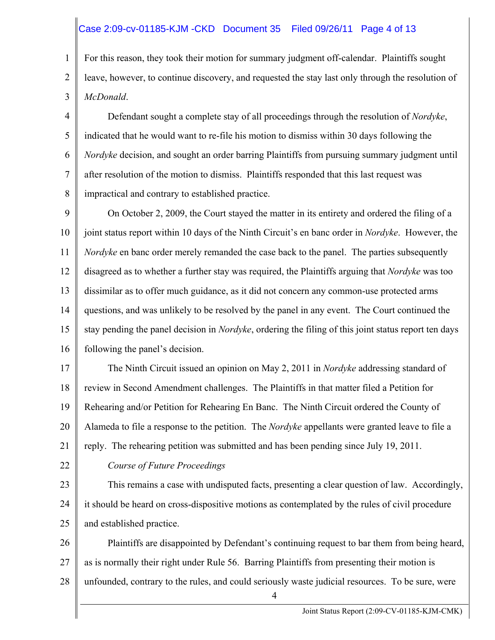#### Case 2:09-cv-01185-KJM -CKD Document 35 Filed 09/26/11 Page 4 of 13

1 2 3 For this reason, they took their motion for summary judgment off-calendar. Plaintiffs sought leave, however, to continue discovery, and requested the stay last only through the resolution of *McDonald*.

4 5 6 7 8 Defendant sought a complete stay of all proceedings through the resolution of *Nordyke*, indicated that he would want to re-file his motion to dismiss within 30 days following the *Nordyke* decision, and sought an order barring Plaintiffs from pursuing summary judgment until after resolution of the motion to dismiss. Plaintiffs responded that this last request was impractical and contrary to established practice.

9 10 11 12 13 14 15 16 On October 2, 2009, the Court stayed the matter in its entirety and ordered the filing of a joint status report within 10 days of the Ninth Circuit's en banc order in *Nordyke*. However, the *Nordyke* en banc order merely remanded the case back to the panel. The parties subsequently disagreed as to whether a further stay was required, the Plaintiffs arguing that *Nordyke* was too dissimilar as to offer much guidance, as it did not concern any common-use protected arms questions, and was unlikely to be resolved by the panel in any event. The Court continued the stay pending the panel decision in *Nordyke*, ordering the filing of this joint status report ten days following the panel's decision.

17 18 19 20 21 The Ninth Circuit issued an opinion on May 2, 2011 in *Nordyke* addressing standard of review in Second Amendment challenges. The Plaintiffs in that matter filed a Petition for Rehearing and/or Petition for Rehearing En Banc. The Ninth Circuit ordered the County of Alameda to file a response to the petition. The *Nordyke* appellants were granted leave to file a reply. The rehearing petition was submitted and has been pending since July 19, 2011.

22

#### *Course of Future Proceedings*

23 24 25 This remains a case with undisputed facts, presenting a clear question of law. Accordingly, it should be heard on cross-dispositive motions as contemplated by the rules of civil procedure and established practice.

26 27 28 Plaintiffs are disappointed by Defendant's continuing request to bar them from being heard, as is normally their right under Rule 56. Barring Plaintiffs from presenting their motion is unfounded, contrary to the rules, and could seriously waste judicial resources. To be sure, were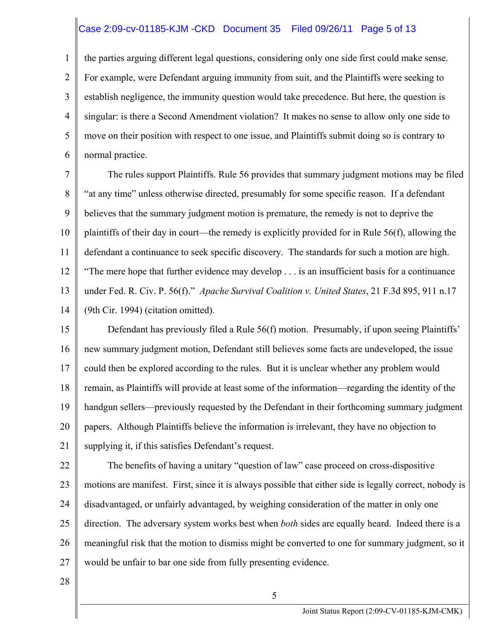#### Case 2:09-cv-01185-KJM -CKD Document 35 Filed 09/26/11 Page 5 of 13

1 2 3 4 5 6 the parties arguing different legal questions, considering only one side first could make sense. For example, were Defendant arguing immunity from suit, and the Plaintiffs were seeking to establish negligence, the immunity question would take precedence. But here, the question is singular: is there a Second Amendment violation? It makes no sense to allow only one side to move on their position with respect to one issue, and Plaintiffs submit doing so is contrary to normal practice.

7 8 9 10 11 12 13 14 The rules support Plaintiffs. Rule 56 provides that summary judgment motions may be filed "at any time" unless otherwise directed, presumably for some specific reason. If a defendant believes that the summary judgment motion is premature, the remedy is not to deprive the plaintiffs of their day in court—the remedy is explicitly provided for in Rule 56(f), allowing the defendant a continuance to seek specific discovery. The standards for such a motion are high. "The mere hope that further evidence may develop . . . is an insufficient basis for a continuance under Fed. R. Civ. P. 56(f)." *Apache Survival Coalition v. United States*, 21 F.3d 895, 911 n.17 (9th Cir. 1994) (citation omitted).

15 16 17 18 19 20 21 Defendant has previously filed a Rule 56(f) motion. Presumably, if upon seeing Plaintiffs' new summary judgment motion, Defendant still believes some facts are undeveloped, the issue could then be explored according to the rules. But it is unclear whether any problem would remain, as Plaintiffs will provide at least some of the information—regarding the identity of the handgun sellers—previously requested by the Defendant in their forthcoming summary judgment papers. Although Plaintiffs believe the information is irrelevant, they have no objection to supplying it, if this satisfies Defendant's request.

22 23 24 25 26 27 The benefits of having a unitary "question of law" case proceed on cross-dispositive motions are manifest. First, since it is always possible that either side is legally correct, nobody is disadvantaged, or unfairly advantaged, by weighing consideration of the matter in only one direction. The adversary system works best when *both* sides are equally heard. Indeed there is a meaningful risk that the motion to dismiss might be converted to one for summary judgment, so it would be unfair to bar one side from fully presenting evidence.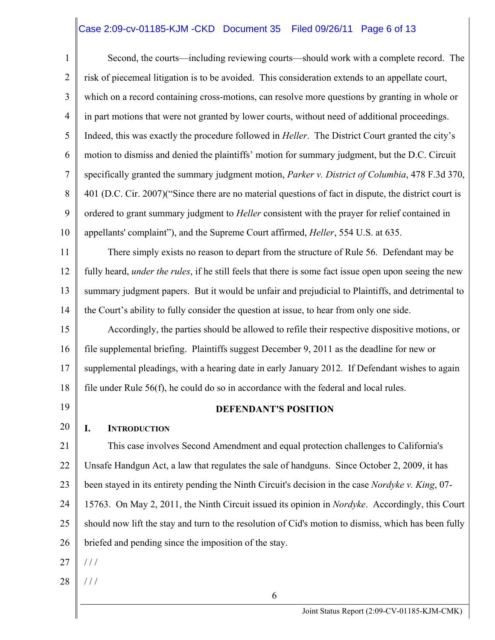#### Case 2:09-cv-01185-KJM -CKD Document 35 Filed 09/26/11 Page 6 of 13

1 2 3 4 5 6 7 8 9 10 Second, the courts—including reviewing courts—should work with a complete record. The risk of piecemeal litigation is to be avoided. This consideration extends to an appellate court, which on a record containing cross-motions, can resolve more questions by granting in whole or in part motions that were not granted by lower courts, without need of additional proceedings. Indeed, this was exactly the procedure followed in *Heller*. The District Court granted the city's motion to dismiss and denied the plaintiffs' motion for summary judgment, but the D.C. Circuit specifically granted the summary judgment motion, *Parker v. District of Columbia*, 478 F.3d 370, 401 (D.C. Cir. 2007)("Since there are no material questions of fact in dispute, the district court is ordered to grant summary judgment to *Heller* consistent with the prayer for relief contained in appellants' complaint"), and the Supreme Court affirmed, *Heller*, 554 U.S. at 635.

11 12 13 14 There simply exists no reason to depart from the structure of Rule 56. Defendant may be fully heard, *under the rules*, if he still feels that there is some fact issue open upon seeing the new summary judgment papers. But it would be unfair and prejudicial to Plaintiffs, and detrimental to the Court's ability to fully consider the question at issue, to hear from only one side.

15 16 17 18 Accordingly, the parties should be allowed to refile their respective dispositive motions, or file supplemental briefing. Plaintiffs suggest December 9, 2011 as the deadline for new or supplemental pleadings, with a hearing date in early January 2012. If Defendant wishes to again file under Rule 56(f), he could do so in accordance with the federal and local rules.

19

#### **DEFENDANT'S POSITION**

#### 20 **I. INTRODUCTION**

21 22 23 24 25 26 This case involves Second Amendment and equal protection challenges to California's Unsafe Handgun Act, a law that regulates the sale of handguns. Since October 2, 2009, it has been stayed in its entirety pending the Ninth Circuit's decision in the case *Nordyke v. King*, 07- 15763. On May 2, 2011, the Ninth Circuit issued its opinion in *Nordyke*. Accordingly, this Court should now lift the stay and turn to the resolution of Cid's motion to dismiss, which has been fully briefed and pending since the imposition of the stay.

- 27  $1/1$
- 28 / / /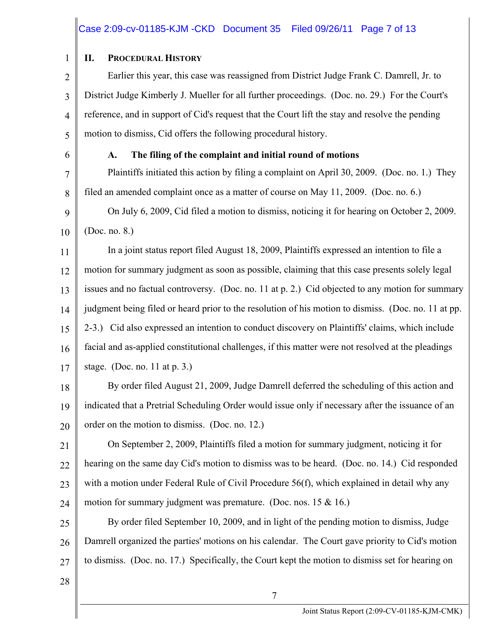#### Case 2:09-cv-01185-KJM -CKD Document 35 Filed 09/26/11 Page 7 of 13

1 2 3 4 5 6 7 8 9 10 11 12 13 14 15 16 17 18 19 20 21 22 23 24 25 26 27 28 7 **II. PROCEDURAL HISTORY** Earlier this year, this case was reassigned from District Judge Frank C. Damrell, Jr. to District Judge Kimberly J. Mueller for all further proceedings. (Doc. no. 29.) For the Court's reference, and in support of Cid's request that the Court lift the stay and resolve the pending motion to dismiss, Cid offers the following procedural history. **A. The filing of the complaint and initial round of motions**  Plaintiffs initiated this action by filing a complaint on April 30, 2009. (Doc. no. 1.) They filed an amended complaint once as a matter of course on May 11, 2009. (Doc. no. 6.) On July 6, 2009, Cid filed a motion to dismiss, noticing it for hearing on October 2, 2009. (Doc. no. 8.) In a joint status report filed August 18, 2009, Plaintiffs expressed an intention to file a motion for summary judgment as soon as possible, claiming that this case presents solely legal issues and no factual controversy. (Doc. no. 11 at p. 2.) Cid objected to any motion for summary judgment being filed or heard prior to the resolution of his motion to dismiss. (Doc. no. 11 at pp. 2-3.) Cid also expressed an intention to conduct discovery on Plaintiffs' claims, which include facial and as-applied constitutional challenges, if this matter were not resolved at the pleadings stage. (Doc. no. 11 at p. 3.) By order filed August 21, 2009, Judge Damrell deferred the scheduling of this action and indicated that a Pretrial Scheduling Order would issue only if necessary after the issuance of an order on the motion to dismiss. (Doc. no. 12.) On September 2, 2009, Plaintiffs filed a motion for summary judgment, noticing it for hearing on the same day Cid's motion to dismiss was to be heard. (Doc. no. 14.) Cid responded with a motion under Federal Rule of Civil Procedure 56(f), which explained in detail why any motion for summary judgment was premature. (Doc. nos. 15  $&$  16.) By order filed September 10, 2009, and in light of the pending motion to dismiss, Judge Damrell organized the parties' motions on his calendar. The Court gave priority to Cid's motion to dismiss. (Doc. no. 17.) Specifically, the Court kept the motion to dismiss set for hearing on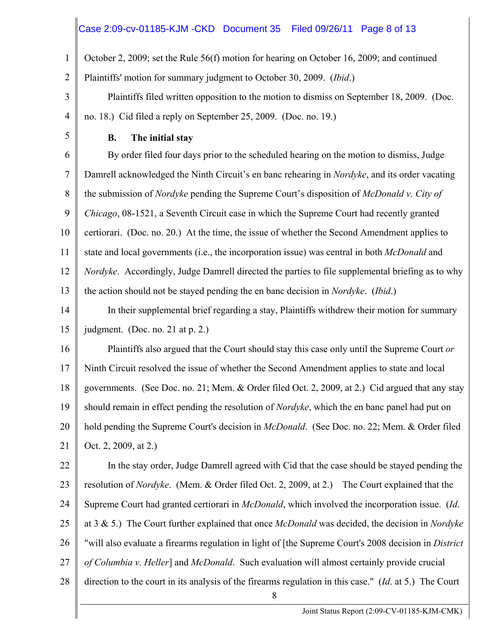#### Case 2:09-cv-01185-KJM -CKD Document 35 Filed 09/26/11 Page 8 of 13

1 October 2, 2009; set the Rule 56(f) motion for hearing on October 16, 2009; and continued

2 Plaintiffs' motion for summary judgment to October 30, 2009. (*Ibid*.)

3 4 Plaintiffs filed written opposition to the motion to dismiss on September 18, 2009. (Doc. no. 18.) Cid filed a reply on September 25, 2009. (Doc. no. 19.)

5

#### **B. The initial stay**

6 7 8 9 10 11 12 13 By order filed four days prior to the scheduled hearing on the motion to dismiss, Judge Damrell acknowledged the Ninth Circuit's en banc rehearing in *Nordyke*, and its order vacating the submission of *Nordyke* pending the Supreme Court's disposition of *McDonald v. City of Chicago*, 08-1521, a Seventh Circuit case in which the Supreme Court had recently granted certiorari. (Doc. no. 20.) At the time, the issue of whether the Second Amendment applies to state and local governments (i.e., the incorporation issue) was central in both *McDonald* and *Nordyke*. Accordingly, Judge Damrell directed the parties to file supplemental briefing as to why the action should not be stayed pending the en banc decision in *Nordyke*. (*Ibid*.)

14 15 In their supplemental brief regarding a stay, Plaintiffs withdrew their motion for summary judgment. (Doc. no. 21 at p. 2.)

16 17 18 19 20 21 Plaintiffs also argued that the Court should stay this case only until the Supreme Court *or* Ninth Circuit resolved the issue of whether the Second Amendment applies to state and local governments. (See Doc. no. 21; Mem. & Order filed Oct. 2, 2009, at 2.) Cid argued that any stay should remain in effect pending the resolution of *Nordyke*, which the en banc panel had put on hold pending the Supreme Court's decision in *McDonald*. (See Doc. no. 22; Mem. & Order filed Oct. 2, 2009, at 2.)

22 23 24 25 26 27 28 In the stay order, Judge Damrell agreed with Cid that the case should be stayed pending the resolution of *Nordyke*. (Mem. & Order filed Oct. 2, 2009, at 2.) The Court explained that the Supreme Court had granted certiorari in *McDonald*, which involved the incorporation issue. (*Id*. at 3 & 5.) The Court further explained that once *McDonald* was decided, the decision in *Nordyke* "will also evaluate a firearms regulation in light of [the Supreme Court's 2008 decision in *District of Columbia v. Heller*] and *McDonald*. Such evaluation will almost certainly provide crucial direction to the court in its analysis of the firearms regulation in this case." (*Id*. at 5.) The Court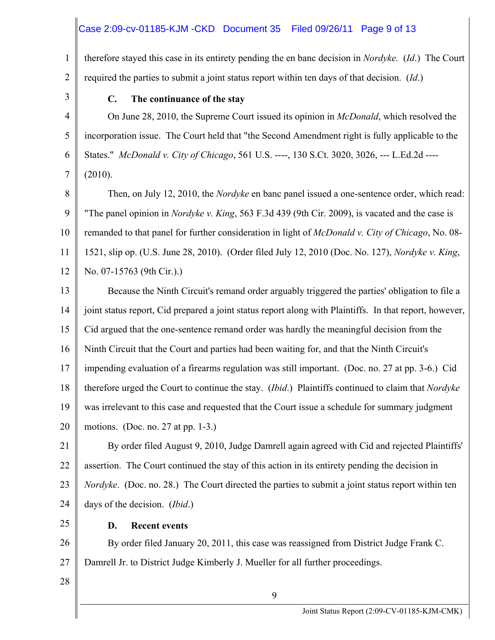### Case 2:09-cv-01185-KJM -CKD Document 35 Filed 09/26/11 Page 9 of 13

1 2 therefore stayed this case in its entirety pending the en banc decision in *Nordyke.* (*Id*.) The Court required the parties to submit a joint status report within ten days of that decision. (*Id*.)

3

4

5

6

7

#### **C. The continuance of the stay**

On June 28, 2010, the Supreme Court issued its opinion in *McDonald*, which resolved the incorporation issue. The Court held that "the Second Amendment right is fully applicable to the States." *McDonald v. City of Chicago*, 561 U.S. ----, 130 S.Ct. 3020, 3026, --- L.Ed.2d ---- (2010).

8 9 10 11 12 Then, on July 12, 2010, the *Nordyke* en banc panel issued a one-sentence order, which read: "The panel opinion in *Nordyke v. King*, 563 F.3d 439 (9th Cir. 2009), is vacated and the case is remanded to that panel for further consideration in light of *McDonald v. City of Chicago*, No. 08- 1521, slip op. (U.S. June 28, 2010). (Order filed July 12, 2010 (Doc. No. 127), *Nordyke v. King*, No. 07-15763 (9th Cir.).)

13 14 15 16 17 18 19 20 Because the Ninth Circuit's remand order arguably triggered the parties' obligation to file a joint status report, Cid prepared a joint status report along with Plaintiffs. In that report, however, Cid argued that the one-sentence remand order was hardly the meaningful decision from the Ninth Circuit that the Court and parties had been waiting for, and that the Ninth Circuit's impending evaluation of a firearms regulation was still important. (Doc. no. 27 at pp. 3-6.) Cid therefore urged the Court to continue the stay. (*Ibid*.) Plaintiffs continued to claim that *Nordyke* was irrelevant to this case and requested that the Court issue a schedule for summary judgment motions. (Doc. no. 27 at pp. 1-3.)

21 22 23 24 By order filed August 9, 2010, Judge Damrell again agreed with Cid and rejected Plaintiffs' assertion. The Court continued the stay of this action in its entirety pending the decision in *Nordyke*. (Doc. no. 28.) The Court directed the parties to submit a joint status report within ten days of the decision. (*Ibid*.)

25

#### **D. Recent events**

26 27 By order filed January 20, 2011, this case was reassigned from District Judge Frank C. Damrell Jr. to District Judge Kimberly J. Mueller for all further proceedings.

9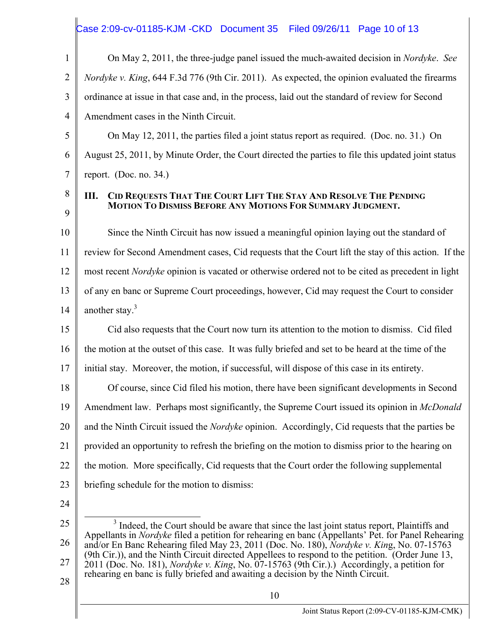#### Case 2:09-cv-01185-KJM -CKD Document 35 Filed 09/26/11 Page 10 of 13

1 2 3 4 On May 2, 2011, the three-judge panel issued the much-awaited decision in *Nordyke*. *See Nordyke v. King*, 644 F.3d 776 (9th Cir. 2011). As expected, the opinion evaluated the firearms ordinance at issue in that case and, in the process, laid out the standard of review for Second Amendment cases in the Ninth Circuit.

5 6 7 On May 12, 2011, the parties filed a joint status report as required. (Doc. no. 31.) On August 25, 2011, by Minute Order, the Court directed the parties to file this updated joint status report. (Doc. no. 34.)

**III. CID REQUESTS THAT THE COURT LIFT THE STAY AND RESOLVE THE PENDING MOTION TO DISMISS BEFORE ANY MOTIONS FOR SUMMARY JUDGMENT.** 

10 11 12 13 14 Since the Ninth Circuit has now issued a meaningful opinion laying out the standard of review for Second Amendment cases, Cid requests that the Court lift the stay of this action. If the most recent *Nordyke* opinion is vacated or otherwise ordered not to be cited as precedent in light of any en banc or Supreme Court proceedings, however, Cid may request the Court to consider another stay. $3$ 

15 16 17 Cid also requests that the Court now turn its attention to the motion to dismiss. Cid filed the motion at the outset of this case. It was fully briefed and set to be heard at the time of the initial stay. Moreover, the motion, if successful, will dispose of this case in its entirety.

18 19 20 21 22 23 Of course, since Cid filed his motion, there have been significant developments in Second Amendment law. Perhaps most significantly, the Supreme Court issued its opinion in *McDonald* and the Ninth Circuit issued the *Nordyke* opinion. Accordingly, Cid requests that the parties be provided an opportunity to refresh the briefing on the motion to dismiss prior to the hearing on the motion. More specifically, Cid requests that the Court order the following supplemental briefing schedule for the motion to dismiss:

24

8

9

<sup>25</sup>  26 27 3 <sup>3</sup> Indeed, the Court should be aware that since the last joint status report, Plaintiffs and Appellants in *Nordyke* filed a petition for rehearing en banc (Appellants' Pet. for Panel Rehearing and/or En Banc Rehearing filed May 23, 2011 (Doc. No. 180), *Nordyke v. Kin*g, No. 07-15763 (9th Cir.)), and the Ninth Circuit directed Appellees to respond to the petition. (Order June 13, 2011 (Doc. No. 181), *Nordyke v. King*, No. 07-15763 (9th Cir.).) Accordingly, a petition for rehearing en banc is fully briefed and awaiting a decision by the Ninth Circuit.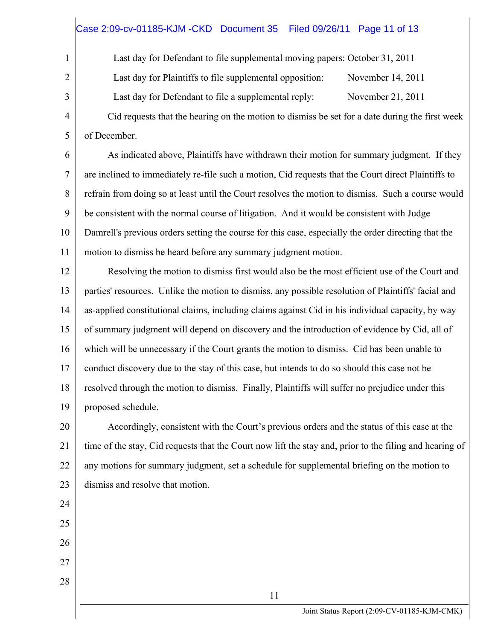# Case 2:09-cv-01185-KJM -CKD Document 35 Filed 09/26/11 Page 11 of 13

Last day for Defendant to file supplemental moving papers: October 31, 2011

Last day for Plaintiffs to file supplemental opposition: November 14, 2011

Last day for Defendant to file a supplemental reply: November 21, 2011

 Cid requests that the hearing on the motion to dismiss be set for a date during the first week of December.

6 7 8 9 10 11 As indicated above, Plaintiffs have withdrawn their motion for summary judgment. If they are inclined to immediately re-file such a motion, Cid requests that the Court direct Plaintiffs to refrain from doing so at least until the Court resolves the motion to dismiss. Such a course would be consistent with the normal course of litigation. And it would be consistent with Judge Damrell's previous orders setting the course for this case, especially the order directing that the motion to dismiss be heard before any summary judgment motion.

12 13 14 15 16 17 18 19 Resolving the motion to dismiss first would also be the most efficient use of the Court and parties' resources. Unlike the motion to dismiss, any possible resolution of Plaintiffs' facial and as-applied constitutional claims, including claims against Cid in his individual capacity, by way of summary judgment will depend on discovery and the introduction of evidence by Cid, all of which will be unnecessary if the Court grants the motion to dismiss. Cid has been unable to conduct discovery due to the stay of this case, but intends to do so should this case not be resolved through the motion to dismiss. Finally, Plaintiffs will suffer no prejudice under this proposed schedule.

20 21 22 23 Accordingly, consistent with the Court's previous orders and the status of this case at the time of the stay, Cid requests that the Court now lift the stay and, prior to the filing and hearing of any motions for summary judgment, set a schedule for supplemental briefing on the motion to dismiss and resolve that motion.

25 26

24

1

2

3

4

- 27
- 28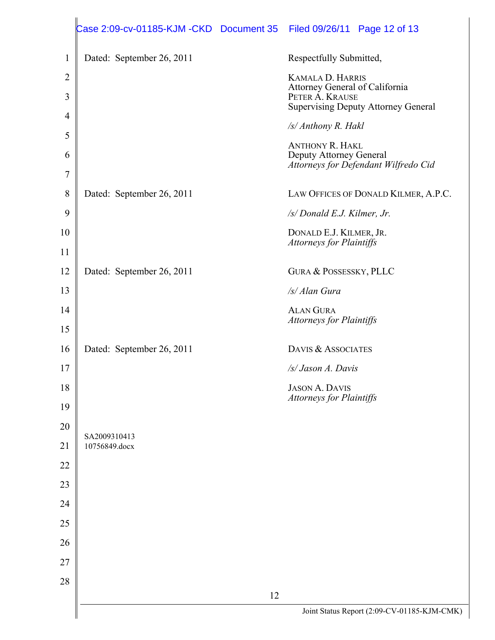|                | Case 2:09-cv-01185-KJM -CKD Document 35 | Filed 09/26/11 Page 12 of 13                                    |
|----------------|-----------------------------------------|-----------------------------------------------------------------|
| $\mathbf{1}$   | Dated: September 26, 2011               | Respectfully Submitted,                                         |
| $\overline{2}$ |                                         | <b>KAMALA D. HARRIS</b><br>Attorney General of California       |
| 3              |                                         | PETER A. KRAUSE<br><b>Supervising Deputy Attorney General</b>   |
| $\overline{4}$ |                                         | /s/ Anthony R. Hakl                                             |
| 5              |                                         | <b>ANTHONY R. HAKL</b>                                          |
| 6              |                                         | Deputy Attorney General<br>Attorneys for Defendant Wilfredo Cid |
| $\overline{7}$ |                                         |                                                                 |
| 8              | Dated: September 26, 2011               | LAW OFFICES OF DONALD KILMER, A.P.C.                            |
| 9              |                                         | /s/ Donald E.J. Kilmer, Jr.                                     |
| 10             |                                         | DONALD E.J. KILMER, JR.<br><b>Attorneys for Plaintiffs</b>      |
| 11             |                                         |                                                                 |
| 12             | Dated: September 26, 2011               | <b>GURA &amp; POSSESSKY, PLLC</b>                               |
| 13             |                                         | /s/ Alan Gura                                                   |
| 14             |                                         | <b>ALAN GURA</b><br>Attorneys for Plaintiffs                    |
| 15             |                                         |                                                                 |
| 16             | Dated: September 26, 2011               | DAVIS & ASSOCIATES                                              |
| 17             |                                         | /s/ Jason A. Davis                                              |
| 18             |                                         | <b>JASON A. DAVIS</b><br><b>Attorneys for Plaintiffs</b>        |
| 19             |                                         |                                                                 |
| 20             | SA2009310413                            |                                                                 |
| 21             | 10756849.docx                           |                                                                 |
| 22             |                                         |                                                                 |
| 23             |                                         |                                                                 |
| 24             |                                         |                                                                 |
| 25             |                                         |                                                                 |
| 26             |                                         |                                                                 |
| 27             |                                         |                                                                 |
| 28             |                                         |                                                                 |
|                | 12                                      |                                                                 |
|                |                                         | Joint Status Report (2:09-CV-01185-KJM-CMK)                     |